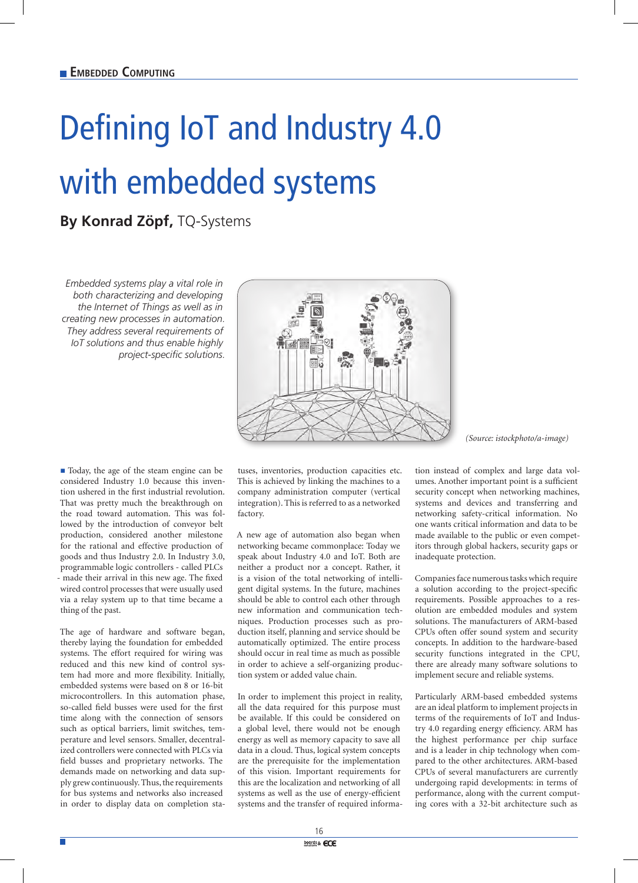## Defining IoT and Industry 4.0 with embedded systems

**By Konrad Zöpf,** TQ-Systems

*Embedded systems play a vital role in both characterizing and developing the Internet of Things as well as in creating new processes in automation. They address several requirements of IoT solutions and thus enable highly project-specific solutions.*



*(Source: istockphoto/a-image)*

■ Today, the age of the steam engine can be considered Industry 1.0 because this invention ushered in the first industrial revolution. That was pretty much the breakthrough on the road toward automation. This was followed by the introduction of conveyor belt production, considered another milestone for the rational and effective production of goods and thus Industry 2.0. In Industry 3.0, programmable logic controllers - called PLCs - made their arrival in this new age. The fixed wired control processes that were usually used via a relay system up to that time became a thing of the past.

The age of hardware and software began, thereby laying the foundation for embedded systems. The effort required for wiring was reduced and this new kind of control system had more and more flexibility. Initially, embedded systems were based on 8 or 16-bit microcontrollers. In this automation phase, so-called field busses were used for the first time along with the connection of sensors such as optical barriers, limit switches, temperature and level sensors. Smaller, decentralized controllers were connected with PLCs via field busses and proprietary networks. The demands made on networking and data supply grew continuously. Thus, the requirements for bus systems and networks also increased in order to display data on completion sta-

tuses, inventories, production capacities etc. This is achieved by linking the machines to a company administration computer (vertical integration). This is referred to as a networked factory.

A new age of automation also began when networking became commonplace: Today we speak about Industry 4.0 and IoT. Both are neither a product nor a concept. Rather, it is a vision of the total networking of intelligent digital systems. In the future, machines should be able to control each other through new information and communication techniques. Production processes such as production itself, planning and service should be automatically optimized. The entire process should occur in real time as much as possible in order to achieve a self-organizing production system or added value chain.

In order to implement this project in reality, all the data required for this purpose must be available. If this could be considered on a global level, there would not be enough energy as well as memory capacity to save all data in a cloud. Thus, logical system concepts are the prerequisite for the implementation of this vision. Important requirements for this are the localization and networking of all systems as well as the use of energy-efficient systems and the transfer of required informa-

tion instead of complex and large data volumes. Another important point is a sufficient security concept when networking machines, systems and devices and transferring and networking safety-critical information. No one wants critical information and data to be made available to the public or even competitors through global hackers, security gaps or inadequate protection.

Companies face numerous tasks which require a solution according to the project-specific requirements. Possible approaches to a resolution are embedded modules and system solutions. The manufacturers of ARM-based CPUs often offer sound system and security concepts. In addition to the hardware-based security functions integrated in the CPU, there are already many software solutions to implement secure and reliable systems.

Particularly ARM-based embedded systems are an ideal platform to implement projects in terms of the requirements of IoT and Industry 4.0 regarding energy efficiency. ARM has the highest performance per chip surface and is a leader in chip technology when compared to the other architectures. ARM-based CPUs of several manufacturers are currently undergoing rapid developments: in terms of performance, along with the current computing cores with a 32-bit architecture such as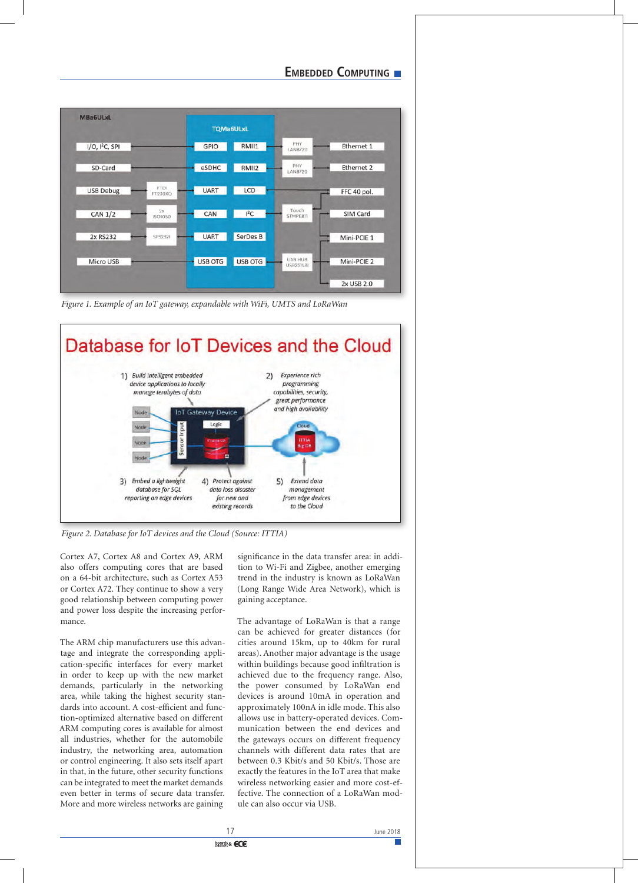## **EMBEDDED COMPUTING**

| <b>MBa6ULxL</b>     |                        | <b>TQMa6ULxL</b> |                |                       |             |
|---------------------|------------------------|------------------|----------------|-----------------------|-------------|
| $I/O$ , $I2C$ , SPI |                        | GPIO             | RMII1          | PHY<br><b>LAN8720</b> | Ethernet 1  |
| SD-Card             |                        | eSDHC            | RMII2          | PHY<br>LAN8720        | Ethernet 2  |
| <b>USB Debug</b>    | <b>FTDI</b><br>FT230XQ | <b>UART</b>      | LCD            |                       | FFC 40 pol. |
| <b>CAN 1/2</b>      | 2x<br>ISO1050          | CAN              | $I^2C$         | Touch<br>STMPE811     | SIM Card    |
| 2x RS232            | SP32321                | <b>UART</b>      | SerDes B       |                       | Mini-PCIE 1 |
| Micro USB           |                        | <b>USB OTG</b>   | <b>USB OTG</b> | USB HUB<br>USB2514BI  | Mini-PCIE 2 |
|                     |                        |                  |                |                       | 2x USB 2.0  |

*Figure 1. Example of an IoT gateway, expandable with WiFi, UMTS and LoRaWan*



*Figure 2. Database for IoT devices and the Cloud (Source: ITTIA)*

Cortex A7, Cortex A8 and Cortex A9, ARM also offers computing cores that are based on a 64-bit architecture, such as Cortex A53 or Cortex A72. They continue to show a very good relationship between computing power and power loss despite the increasing performance.

The ARM chip manufacturers use this advantage and integrate the corresponding application-specific interfaces for every market in order to keep up with the new market demands, particularly in the networking area, while taking the highest security standards into account. A cost-efficient and function-optimized alternative based on different ARM computing cores is available for almost all industries, whether for the automobile industry, the networking area, automation or control engineering. It also sets itself apart in that, in the future, other security functions can be integrated to meet the market demands even better in terms of secure data transfer. More and more wireless networks are gaining

significance in the data transfer area: in addition to Wi-Fi and Zigbee, another emerging trend in the industry is known as LoRaWan (Long Range Wide Area Network), which is gaining acceptance.

The advantage of LoRaWan is that a range can be achieved for greater distances (for cities around 15km, up to 40km for rural areas). Another major advantage is the usage within buildings because good infiltration is achieved due to the frequency range. Also, the power consumed by LoRaWan end devices is around 10mA in operation and approximately 100nA in idle mode. This also allows use in battery-operated devices. Communication between the end devices and the gateways occurs on different frequency channels with different data rates that are between 0.3 Kbit/s and 50 Kbit/s. Those are exactly the features in the IoT area that make wireless networking easier and more cost-effective. The connection of a LoRaWan module can also occur via USB.